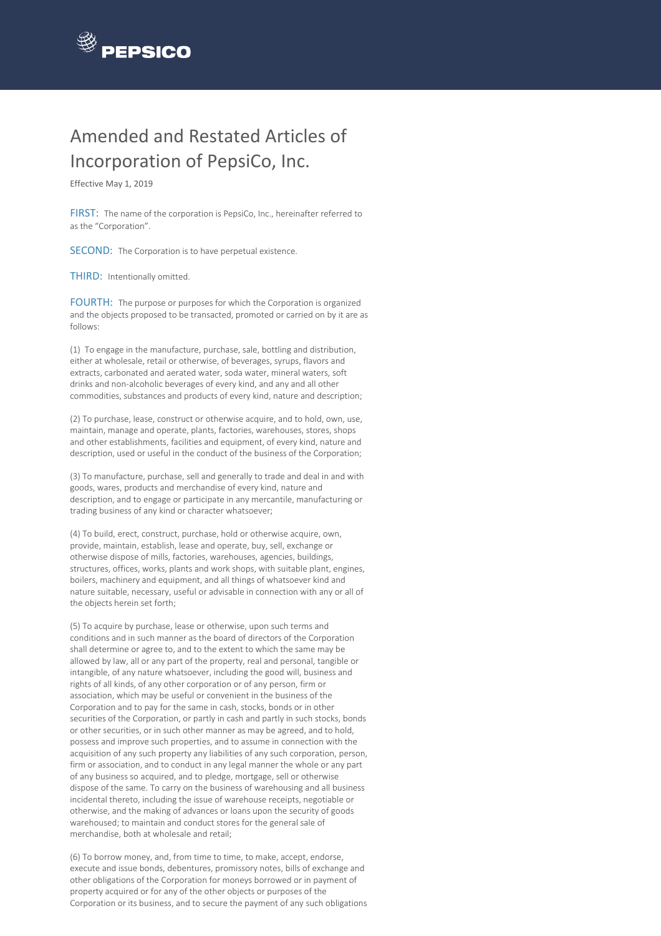

## Amended and Restated Articles of Incorporation of PepsiCo, Inc.

Effective May 1, 2019

FIRST: The name of the corporation is PepsiCo, Inc., hereinafter referred to as the "Corporation".

SECOND: The Corporation is to have perpetual existence.

THIRD: Intentionally omitted.

FOURTH: The purpose or purposes for which the Corporation is organized and the objects proposed to be transacted, promoted or carried on by it are as follows:

(1) To engage in the manufacture, purchase, sale, bottling and distribution, either at wholesale, retail or otherwise, of beverages, syrups, flavors and extracts, carbonated and aerated water, soda water, mineral waters, soft drinks and non-alcoholic beverages of every kind, and any and all other commodities, substances and products of every kind, nature and description;

(2) To purchase, lease, construct or otherwise acquire, and to hold, own, use, maintain, manage and operate, plants, factories, warehouses, stores, shops and other establishments, facilities and equipment, of every kind, nature and description, used or useful in the conduct of the business of the Corporation;

(3) To manufacture, purchase, sell and generally to trade and deal in and with goods, wares, products and merchandise of every kind, nature and description, and to engage or participate in any mercantile, manufacturing or trading business of any kind or character whatsoever;

(4) To build, erect, construct, purchase, hold or otherwise acquire, own, provide, maintain, establish, lease and operate, buy, sell, exchange or otherwise dispose of mills, factories, warehouses, agencies, buildings, structures, offices, works, plants and work shops, with suitable plant, engines, boilers, machinery and equipment, and all things of whatsoever kind and nature suitable, necessary, useful or advisable in connection with any or all of the objects herein set forth;

(5) To acquire by purchase, lease or otherwise, upon such terms and conditions and in such manner as the board of directors of the Corporation shall determine or agree to, and to the extent to which the same may be allowed by law, all or any part of the property, real and personal, tangible or intangible, of any nature whatsoever, including the good will, business and rights of all kinds, of any other corporation or of any person, firm or association, which may be useful or convenient in the business of the Corporation and to pay for the same in cash, stocks, bonds or in other securities of the Corporation, or partly in cash and partly in such stocks, bonds or other securities, or in such other manner as may be agreed, and to hold, possess and improve such properties, and to assume in connection with the acquisition of any such property any liabilities of any such corporation, person, firm or association, and to conduct in any legal manner the whole or any part of any business so acquired, and to pledge, mortgage, sell or otherwise dispose of the same. To carry on the business of warehousing and all business incidental thereto, including the issue of warehouse receipts, negotiable or otherwise, and the making of advances or loans upon the security of goods warehoused; to maintain and conduct stores for the general sale of merchandise, both at wholesale and retail;

(6) To borrow money, and, from time to time, to make, accept, endorse, execute and issue bonds, debentures, promissory notes, bills of exchange and other obligations of the Corporation for moneys borrowed or in payment of property acquired or for any of the other objects or purposes of the Corporation or its business, and to secure the payment of any such obligations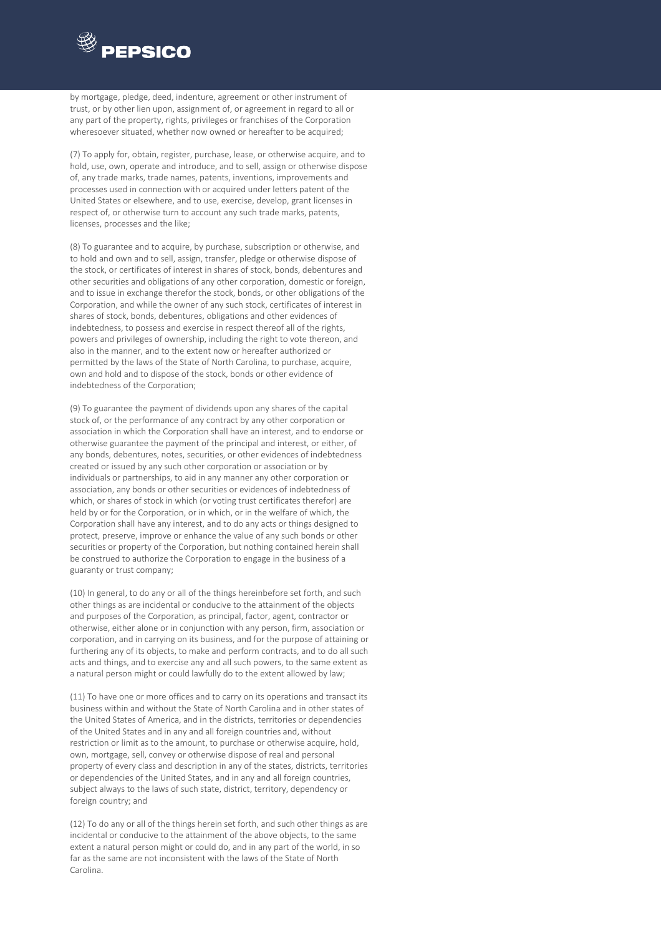

by mortgage, pledge, deed, indenture, agreement or other instrument of trust, or by other lien upon, assignment of, or agreement in regard to all or any part of the property, rights, privileges or franchises of the Corporation wheresoever situated, whether now owned or hereafter to be acquired;

(7) To apply for, obtain, register, purchase, lease, or otherwise acquire, and to hold, use, own, operate and introduce, and to sell, assign or otherwise dispose of, any trade marks, trade names, patents, inventions, improvements and processes used in connection with or acquired under letters patent of the United States or elsewhere, and to use, exercise, develop, grant licenses in respect of, or otherwise turn to account any such trade marks, patents, licenses, processes and the like;

(8) To guarantee and to acquire, by purchase, subscription or otherwise, and to hold and own and to sell, assign, transfer, pledge or otherwise dispose of the stock, or certificates of interest in shares of stock, bonds, debentures and other securities and obligations of any other corporation, domestic or foreign, and to issue in exchange therefor the stock, bonds, or other obligations of the Corporation, and while the owner of any such stock, certificates of interest in shares of stock, bonds, debentures, obligations and other evidences of indebtedness, to possess and exercise in respect thereof all of the rights, powers and privileges of ownership, including the right to vote thereon, and also in the manner, and to the extent now or hereafter authorized or permitted by the laws of the State of North Carolina, to purchase, acquire, own and hold and to dispose of the stock, bonds or other evidence of indebtedness of the Corporation;

(9) To guarantee the payment of dividends upon any shares of the capital stock of, or the performance of any contract by any other corporation or association in which the Corporation shall have an interest, and to endorse or otherwise guarantee the payment of the principal and interest, or either, of any bonds, debentures, notes, securities, or other evidences of indebtedness created or issued by any such other corporation or association or by individuals or partnerships, to aid in any manner any other corporation or association, any bonds or other securities or evidences of indebtedness of which, or shares of stock in which (or voting trust certificates therefor) are held by or for the Corporation, or in which, or in the welfare of which, the Corporation shall have any interest, and to do any acts or things designed to protect, preserve, improve or enhance the value of any such bonds or other securities or property of the Corporation, but nothing contained herein shall be construed to authorize the Corporation to engage in the business of a guaranty or trust company;

(10) In general, to do any or all of the things hereinbefore set forth, and such other things as are incidental or conducive to the attainment of the objects and purposes of the Corporation, as principal, factor, agent, contractor or otherwise, either alone or in conjunction with any person, firm, association or corporation, and in carrying on its business, and for the purpose of attaining or furthering any of its objects, to make and perform contracts, and to do all such acts and things, and to exercise any and all such powers, to the same extent as a natural person might or could lawfully do to the extent allowed by law;

(11) To have one or more offices and to carry on its operations and transact its business within and without the State of North Carolina and in other states of the United States of America, and in the districts, territories or dependencies of the United States and in any and all foreign countries and, without restriction or limit as to the amount, to purchase or otherwise acquire, hold, own, mortgage, sell, convey or otherwise dispose of real and personal property of every class and description in any of the states, districts, territories or dependencies of the United States, and in any and all foreign countries, subject always to the laws of such state, district, territory, dependency or foreign country; and

(12) To do any or all of the things herein set forth, and such other things as are incidental or conducive to the attainment of the above objects, to the same extent a natural person might or could do, and in any part of the world, in so far as the same are not inconsistent with the laws of the State of North Carolina.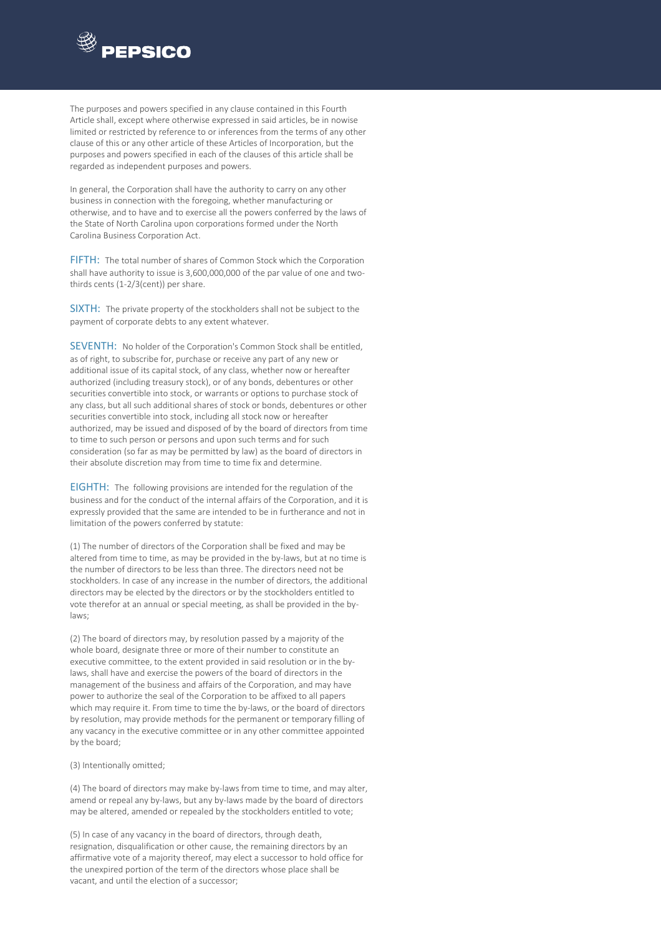

The purposes and powers specified in any clause contained in this Fourth Article shall, except where otherwise expressed in said articles, be in nowise limited or restricted by reference to or inferences from the terms of any other clause of this or any other article of these Articles of Incorporation, but the purposes and powers specified in each of the clauses of this article shall be regarded as independent purposes and powers.

In general, the Corporation shall have the authority to carry on any other business in connection with the foregoing, whether manufacturing or otherwise, and to have and to exercise all the powers conferred by the laws of the State of North Carolina upon corporations formed under the North Carolina Business Corporation Act.

FIFTH: The total number of shares of Common Stock which the Corporation shall have authority to issue is 3,600,000,000 of the par value of one and twothirds cents (1-2/3(cent)) per share.

SIXTH: The private property of the stockholders shall not be subject to the payment of corporate debts to any extent whatever.

SEVENTH: No holder of the Corporation's Common Stock shall be entitled, as of right, to subscribe for, purchase or receive any part of any new or additional issue of its capital stock, of any class, whether now or hereafter authorized (including treasury stock), or of any bonds, debentures or other securities convertible into stock, or warrants or options to purchase stock of any class, but all such additional shares of stock or bonds, debentures or other securities convertible into stock, including all stock now or hereafter authorized, may be issued and disposed of by the board of directors from time to time to such person or persons and upon such terms and for such consideration (so far as may be permitted by law) as the board of directors in their absolute discretion may from time to time fix and determine.

EIGHTH: The following provisions are intended for the regulation of the business and for the conduct of the internal affairs of the Corporation, and it is expressly provided that the same are intended to be in furtherance and not in limitation of the powers conferred by statute:

(1) The number of directors of the Corporation shall be fixed and may be altered from time to time, as may be provided in the by-laws, but at no time is the number of directors to be less than three. The directors need not be stockholders. In case of any increase in the number of directors, the additional directors may be elected by the directors or by the stockholders entitled to vote therefor at an annual or special meeting, as shall be provided in the bylaws;

(2) The board of directors may, by resolution passed by a majority of the whole board, designate three or more of their number to constitute an executive committee, to the extent provided in said resolution or in the bylaws, shall have and exercise the powers of the board of directors in the management of the business and affairs of the Corporation, and may have power to authorize the seal of the Corporation to be affixed to all papers which may require it. From time to time the by-laws, or the board of directors by resolution, may provide methods for the permanent or temporary filling of any vacancy in the executive committee or in any other committee appointed by the board;

(3) Intentionally omitted;

(4) The board of directors may make by-laws from time to time, and may alter, amend or repeal any by-laws, but any by-laws made by the board of directors may be altered, amended or repealed by the stockholders entitled to vote;

(5) In case of any vacancy in the board of directors, through death, resignation, disqualification or other cause, the remaining directors by an affirmative vote of a majority thereof, may elect a successor to hold office for the unexpired portion of the term of the directors whose place shall be vacant, and until the election of a successor;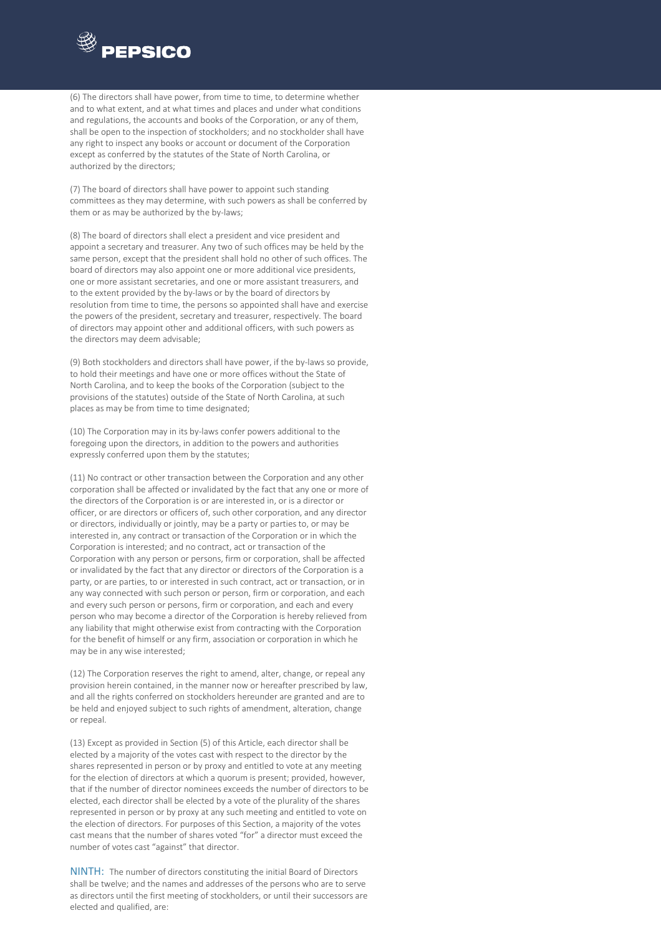

(6) The directors shall have power, from time to time, to determine whether and to what extent, and at what times and places and under what conditions and regulations, the accounts and books of the Corporation, or any of them, shall be open to the inspection of stockholders; and no stockholder shall have any right to inspect any books or account or document of the Corporation except as conferred by the statutes of the State of North Carolina, or authorized by the directors;

(7) The board of directors shall have power to appoint such standing committees as they may determine, with such powers as shall be conferred by them or as may be authorized by the by-laws;

(8) The board of directors shall elect a president and vice president and appoint a secretary and treasurer. Any two of such offices may be held by the same person, except that the president shall hold no other of such offices. The board of directors may also appoint one or more additional vice presidents, one or more assistant secretaries, and one or more assistant treasurers, and to the extent provided by the by-laws or by the board of directors by resolution from time to time, the persons so appointed shall have and exercise the powers of the president, secretary and treasurer, respectively. The board of directors may appoint other and additional officers, with such powers as the directors may deem advisable;

(9) Both stockholders and directors shall have power, if the by-laws so provide, to hold their meetings and have one or more offices without the State of North Carolina, and to keep the books of the Corporation (subject to the provisions of the statutes) outside of the State of North Carolina, at such places as may be from time to time designated;

(10) The Corporation may in its by-laws confer powers additional to the foregoing upon the directors, in addition to the powers and authorities expressly conferred upon them by the statutes;

(11) No contract or other transaction between the Corporation and any other corporation shall be affected or invalidated by the fact that any one or more of the directors of the Corporation is or are interested in, or is a director or officer, or are directors or officers of, such other corporation, and any director or directors, individually or jointly, may be a party or parties to, or may be interested in, any contract or transaction of the Corporation or in which the Corporation is interested; and no contract, act or transaction of the Corporation with any person or persons, firm or corporation, shall be affected or invalidated by the fact that any director or directors of the Corporation is a party, or are parties, to or interested in such contract, act or transaction, or in any way connected with such person or person, firm or corporation, and each and every such person or persons, firm or corporation, and each and every person who may become a director of the Corporation is hereby relieved from any liability that might otherwise exist from contracting with the Corporation for the benefit of himself or any firm, association or corporation in which he may be in any wise interested;

(12) The Corporation reserves the right to amend, alter, change, or repeal any provision herein contained, in the manner now or hereafter prescribed by law, and all the rights conferred on stockholders hereunder are granted and are to be held and enjoyed subject to such rights of amendment, alteration, change or repeal.

(13) Except as provided in Section (5) of this Article, each director shall be elected by a majority of the votes cast with respect to the director by the shares represented in person or by proxy and entitled to vote at any meeting for the election of directors at which a quorum is present; provided, however, that if the number of director nominees exceeds the number of directors to be elected, each director shall be elected by a vote of the plurality of the shares represented in person or by proxy at any such meeting and entitled to vote on the election of directors. For purposes of this Section, a majority of the votes cast means that the number of shares voted "for" a director must exceed the number of votes cast "against" that director.

NINTH: The number of directors constituting the initial Board of Directors shall be twelve; and the names and addresses of the persons who are to serve as directors until the first meeting of stockholders, or until their successors are elected and qualified, are: